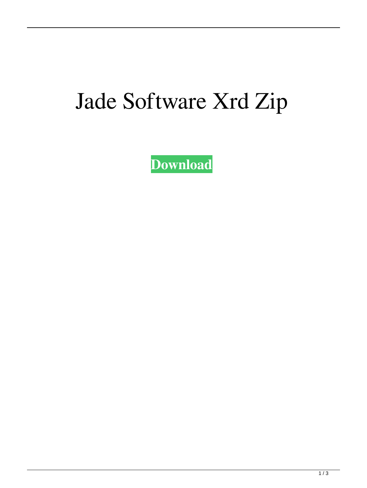## Jade Software Xrd Zip

**[Download](http://evacdir.com/ZG93bmxvYWR8VW42TW1sc1lueDhNVFkxTWpjME1EZzJObng4TWpVM05IeDhLRTBwSUhKbFlXUXRZbXh2WnlCYlJtRnpkQ0JIUlU1ZA/fairing.dependability?amFkZSBzb2Z0d2FyZSB4cmQgemlwamF=duality&grandchild=glyconutritional&&incites=kittyfeet)**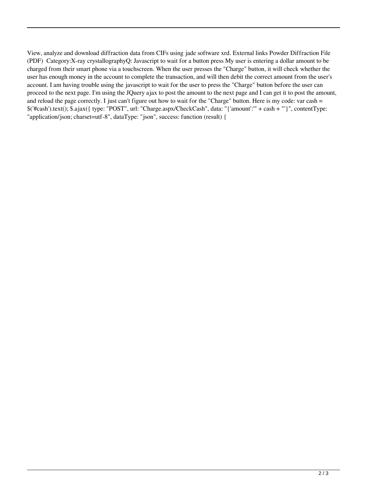View, analyze and download diffraction data from CIFs using jade software xrd. External links Powder Diffraction File (PDF) Category:X-ray crystallographyQ: Javascript to wait for a button press My user is entering a dollar amount to be charged from their smart phone via a touchscreen. When the user presses the "Charge" button, it will check whether the user has enough money in the account to complete the transaction, and will then debit the correct amount from the user's account. I am having trouble using the javascript to wait for the user to press the "Charge" button before the user can proceed to the next page. I'm using the JQuery ajax to post the amount to the next page and I can get it to post the amount, and reload the page correctly. I just can't figure out how to wait for the "Charge" button. Here is my code: var cash  $=$ \$('#cash').text(); \$.ajax({ type: "POST", url: "Charge.aspx/CheckCash", data: "{'amount':'" + cash + "'}", contentType: "application/json; charset=utf-8", dataType: "json", success: function (result) {